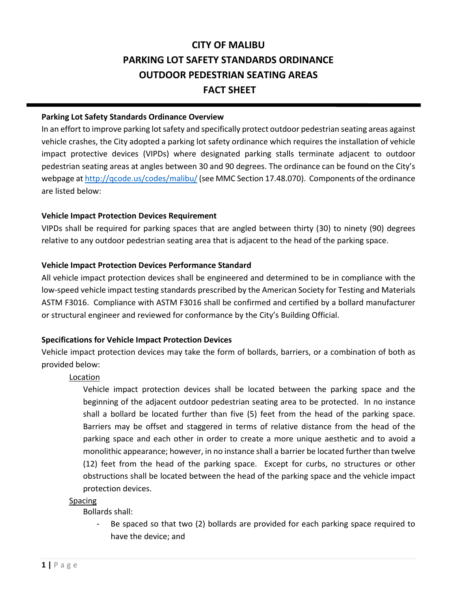# **CITY OF MALIBU PARKING LOT SAFETY STANDARDS ORDINANCE OUTDOOR PEDESTRIAN SEATING AREAS FACT SHEET**

### **Parking Lot Safety Standards Ordinance Overview**

In an effort to improve parking lot safety and specifically protect outdoor pedestrian seating areas against vehicle crashes, the City adopted a parking lot safety ordinance which requires the installation of vehicle impact protective devices (VIPDs) where designated parking stalls terminate adjacent to outdoor pedestrian seating areas at angles between 30 and 90 degrees. The ordinance can be found on the City's webpage a[t http://qcode.us/codes/malibu/\(](http://qcode.us/codes/malibu/)see MMC Section 17.48.070). Components of the ordinance are listed below:

### **Vehicle Impact Protection Devices Requirement**

VIPDs shall be required for parking spaces that are angled between thirty (30) to ninety (90) degrees relative to any outdoor pedestrian seating area that is adjacent to the head of the parking space.

## **Vehicle Impact Protection Devices Performance Standard**

All vehicle impact protection devices shall be engineered and determined to be in compliance with the low-speed vehicle impact testing standards prescribed by the American Society for Testing and Materials ASTM F3016. Compliance with ASTM F3016 shall be confirmed and certified by a bollard manufacturer or structural engineer and reviewed for conformance by the City's Building Official.

### **Specifications for Vehicle Impact Protection Devices**

Vehicle impact protection devices may take the form of bollards, barriers, or a combination of both as provided below:

# Location

Vehicle impact protection devices shall be located between the parking space and the beginning of the adjacent outdoor pedestrian seating area to be protected. In no instance shall a bollard be located further than five (5) feet from the head of the parking space. Barriers may be offset and staggered in terms of relative distance from the head of the parking space and each other in order to create a more unique aesthetic and to avoid a monolithic appearance; however, in no instance shall a barrier be located further than twelve (12) feet from the head of the parking space. Except for curbs, no structures or other obstructions shall be located between the head of the parking space and the vehicle impact protection devices.

### **Spacing**

Bollards shall:

- Be spaced so that two (2) bollards are provided for each parking space required to have the device; and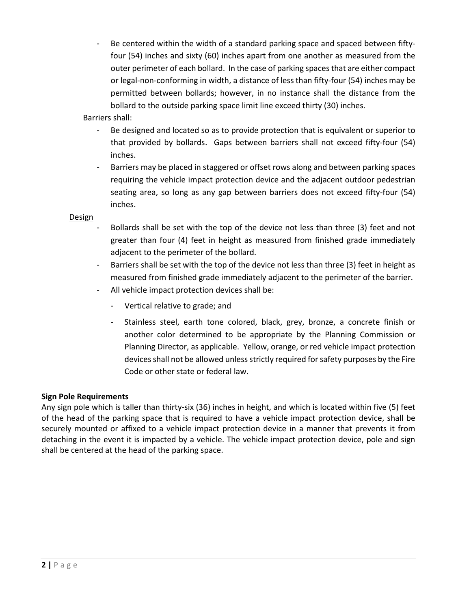Be centered within the width of a standard parking space and spaced between fiftyfour (54) inches and sixty (60) inches apart from one another as measured from the outer perimeter of each bollard. In the case of parking spaces that are either compact or legal-non-conforming in width, a distance of less than fifty-four (54) inches may be permitted between bollards; however, in no instance shall the distance from the bollard to the outside parking space limit line exceed thirty (30) inches.

Barriers shall:

- Be designed and located so as to provide protection that is equivalent or superior to that provided by bollards. Gaps between barriers shall not exceed fifty-four (54) inches.
- Barriers may be placed in staggered or offset rows along and between parking spaces requiring the vehicle impact protection device and the adjacent outdoor pedestrian seating area, so long as any gap between barriers does not exceed fifty-four (54) inches.

Design

- Bollards shall be set with the top of the device not less than three (3) feet and not greater than four (4) feet in height as measured from finished grade immediately adjacent to the perimeter of the bollard.
- Barriers shall be set with the top of the device not less than three (3) feet in height as measured from finished grade immediately adjacent to the perimeter of the barrier.
- All vehicle impact protection devices shall be:
	- Vertical relative to grade; and
	- Stainless steel, earth tone colored, black, grey, bronze, a concrete finish or another color determined to be appropriate by the Planning Commission or Planning Director, as applicable. Yellow, orange, or red vehicle impact protection devices shall not be allowed unless strictly required for safety purposes by the Fire Code or other state or federal law.

# **Sign Pole Requirements**

Any sign pole which is taller than thirty-six (36) inches in height, and which is located within five (5) feet of the head of the parking space that is required to have a vehicle impact protection device, shall be securely mounted or affixed to a vehicle impact protection device in a manner that prevents it from detaching in the event it is impacted by a vehicle. The vehicle impact protection device, pole and sign shall be centered at the head of the parking space.